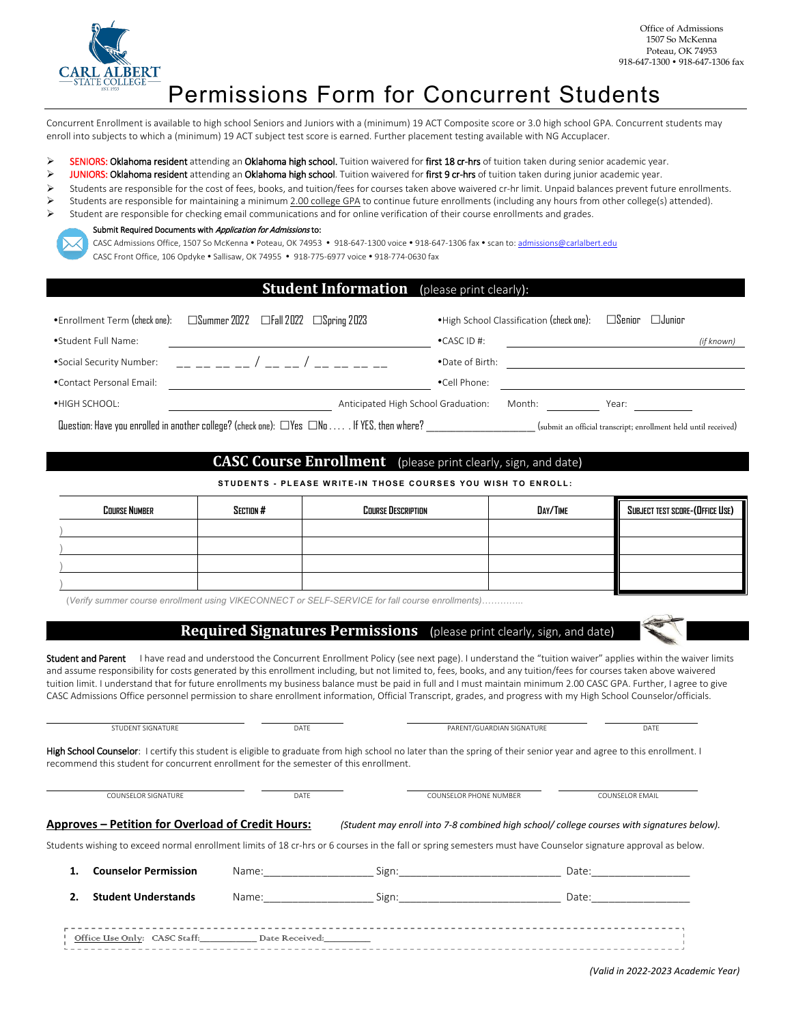

# Permissions Form for Concurrent Students

Concurrent Enrollment is available to high school Seniors and Juniors with a (minimum) 19 ACT Composite score or 3.0 high school GPA. Concurrent students may enroll into subjects to which a (minimum) 19 ACT subject test score is earned. Further placement testing available with NG Accuplacer.

- SENIORS: Oklahoma resident attending an Oklahoma high school. Tuition waivered for first 18 cr-hrs of tuition taken during senior academic year.
- > JUNIORS: Oklahoma resident attending an Oklahoma high school. Tuition waivered for first 9 cr-hrs of tuition taken during junior academic year.
- $\triangleright$  Students are responsible for the cost of fees, books, and tuition/fees for courses taken above waivered cr-hr limit. Unpaid balances prevent future enrollments.
- Students are responsible for maintaining a minimum 2.00 college GPA to continue future enrollments (including any hours from other college(s) attended). Student are responsible for checking email communications and for online verification of their course enrollments and grades.



### Submit Required Documents with Application for Admissions to:

CASC Admissions Office, 1507 So McKenna . Poteau, OK 74953 . 918-647-1300 voice . 918-647-1306 fax . scan to[: admissions@carlalbert.edu](mailto:admissions@carlalbert.edu)

CASC Front Office, 106 Opdyke . Sallisaw, OK 74955 . 918-775-6977 voice . 918-774-0630 fax

### **Student Information** (please print clearly):

| •Enrollment Term (check one):                                                                                                                                                      | $\Box$ Summer 2022 $\Box$ Fall 2022 $\Box$ Spring 2023 |  |                                     |                      | • High School Classification (check one): | $\square$ Senior | $\Box$ Junior |            |
|------------------------------------------------------------------------------------------------------------------------------------------------------------------------------------|--------------------------------------------------------|--|-------------------------------------|----------------------|-------------------------------------------|------------------|---------------|------------|
| •Student Full Name:                                                                                                                                                                |                                                        |  |                                     | $\bullet$ CASC ID #: |                                           |                  |               | (if known) |
| •Social Security Number:                                                                                                                                                           |                                                        |  |                                     | .Date of Birth:      |                                           |                  |               |            |
| .Contact Personal Email:                                                                                                                                                           |                                                        |  |                                     | •Cell Phone:         |                                           |                  |               |            |
| •HIGH SCHOOL:                                                                                                                                                                      |                                                        |  | Anticipated High School Graduation: |                      | Month:                                    | Year:            |               |            |
| Question: Have you enrolled in another college? (check one): $\Box$ Yes $\Box$ No $\dots$ . If YES, then where?<br>(submit an official transcript; enrollment held until received) |                                                        |  |                                     |                      |                                           |                  |               |            |

# **CASC Course Enrollment** (please print clearly, sign, and date)

**STUDENTS - PLEASE WRITE- IN THOSE COURSES YOU WISH TO ENROLL:**

| <b>COURSE NUMBER</b> | SECTION # | <b>Course Description</b> | DAY/TIME | SUBJECT TEST SCORE-(OFFICE USE) |  |
|----------------------|-----------|---------------------------|----------|---------------------------------|--|
|                      |           |                           |          |                                 |  |
|                      |           |                           |          |                                 |  |
|                      |           |                           |          |                                 |  |
|                      |           |                           |          |                                 |  |

(*Verify summer course enrollment using VIKECONNECT or SELF-SERVICE for fall course enrollments)…………*..

## **Required Signatures Permissions** (please print clearly, sign, and date)

Student and Parent I have read and understood the Concurrent Enrollment Policy (see next page). I understand the "tuition waiver" applies within the waiver limits and assume responsibility for costs generated by this enrollment including, but not limited to, fees, books, and any tuition/fees for courses taken above waivered tuition limit. I understand that for future enrollments my business balance must be paid in full and I must maintain minimum 2.00 CASC GPA. Further, I agree to give CASC Admissions Office personnel permission to share enrollment information, Official Transcript, grades, and progress with my High School Counselor/officials.

STUDENT SIGNATURE DATE DATE DATE DATE PARENT/GUARDIAN SIGNATURE DATE DATE

High School Counselor: I certify this student is eligible to graduate from high school no later than the spring of their senior year and agree to this enrollment. I recommend this student for concurrent enrollment for the semester of this enrollment.

| <b>Approves – Petition for Overload of Credit Hours:</b> |                                                                                                                                                                                                                                | (Student may enroll into 7-8 combined high school/ college courses with signatures below).                                                                                                                                     |       |  |
|----------------------------------------------------------|--------------------------------------------------------------------------------------------------------------------------------------------------------------------------------------------------------------------------------|--------------------------------------------------------------------------------------------------------------------------------------------------------------------------------------------------------------------------------|-------|--|
|                                                          |                                                                                                                                                                                                                                | Students wishing to exceed normal enrollment limits of 18 cr-hrs or 6 courses in the fall or spring semesters must have Counselor signature approval as below.                                                                 |       |  |
| <b>Counselor Permission</b>                              | Name:                                                                                                                                                                                                                          | Sign: the contract of the contract of the contract of the contract of the contract of the contract of the contract of the contract of the contract of the contract of the contract of the contract of the contract of the cont | Date: |  |
| <b>Student Understands</b>                               | Name: and the same of the same of the same of the same of the same of the same of the same of the same of the same of the same of the same of the same of the same of the same of the same of the same of the same of the same | Sign:                                                                                                                                                                                                                          | Date: |  |
| Office Use Only: CASC Staff:                             | Date Received:                                                                                                                                                                                                                 |                                                                                                                                                                                                                                |       |  |

*(Valid in 2022-2023 Academic Year)*